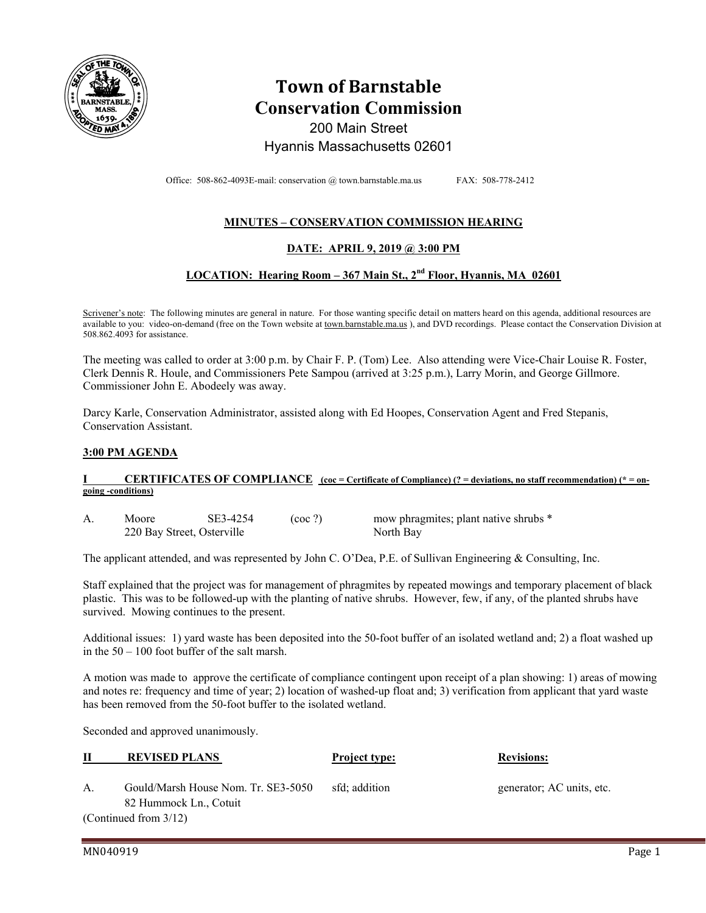

# **Town of Barnstable Conservation Commission**

200 Main Street

Hyannis Massachusetts 02601

Office: 508-862-4093E-mail: conservation @ town.barnstable.ma.us FAX: 508-778-2412

# **MINUTES – CONSERVATION COMMISSION HEARING**

## **DATE: APRIL 9, 2019 @ 3:00 PM**

## **LOCATION: Hearing Room – 367 Main St., 2nd Floor, Hyannis, MA 02601**

Scrivener's note: The following minutes are general in nature. For those wanting specific detail on matters heard on this agenda, additional resources are available to you: video-on-demand (free on the Town website at town.barnstable.ma.us), and DVD recordings. Please contact the Conservation Division at 508.862.4093 for assistance.

The meeting was called to order at 3:00 p.m. by Chair F. P. (Tom) Lee. Also attending were Vice-Chair Louise R. Foster, Clerk Dennis R. Houle, and Commissioners Pete Sampou (arrived at 3:25 p.m.), Larry Morin, and George Gillmore. Commissioner John E. Abodeely was away.

Darcy Karle, Conservation Administrator, assisted along with Ed Hoopes, Conservation Agent and Fred Stepanis, Conservation Assistant.

### **3:00 PM AGENDA**

#### **CERTIFICATES OF COMPLIANCE** (coc = Certificate of Compliance) (? = deviations, no staff recommendation) (\* = on**going -conditions)**

A. Moore SE3-4254 (coc ?) mow phragmites; plant native shrubs \* 220 Bay Street, Osterville North Bay

The applicant attended, and was represented by John C. O'Dea, P.E. of Sullivan Engineering & Consulting, Inc.

Staff explained that the project was for management of phragmites by repeated mowings and temporary placement of black plastic. This was to be followed-up with the planting of native shrubs. However, few, if any, of the planted shrubs have survived. Mowing continues to the present.

Additional issues: 1) yard waste has been deposited into the 50-foot buffer of an isolated wetland and; 2) a float washed up in the 50 – 100 foot buffer of the salt marsh.

A motion was made to approve the certificate of compliance contingent upon receipt of a plan showing: 1) areas of mowing and notes re: frequency and time of year; 2) location of washed-up float and; 3) verification from applicant that yard waste has been removed from the 50-foot buffer to the isolated wetland.

Seconded and approved unanimously.

|    | <b>REVISED PLANS</b>                | <b>Project type:</b> | <b>Revisions:</b>         |
|----|-------------------------------------|----------------------|---------------------------|
| A. | Gould/Marsh House Nom. Tr. SE3-5050 | sfd: addition        | generator; AC units, etc. |
|    | 82 Hummock Ln., Cotuit              |                      |                           |

(Continued from 3/12)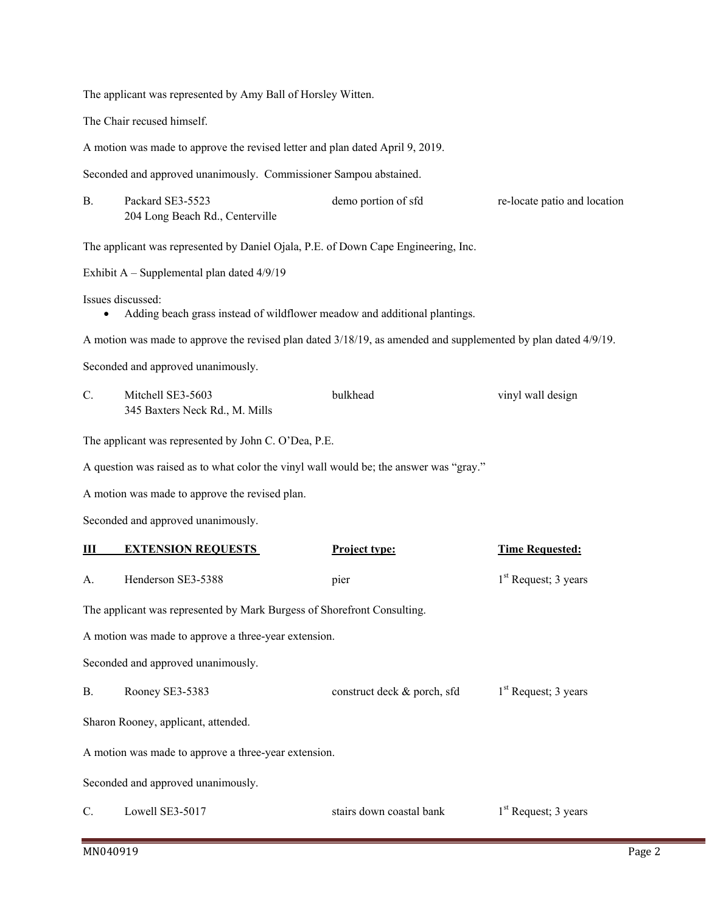The applicant was represented by Amy Ball of Horsley Witten.

The Chair recused himself.

A motion was made to approve the revised letter and plan dated April 9, 2019.

Seconded and approved unanimously. Commissioner Sampou abstained.

| Packard SE3-5523                | demo portion of sfd | re-locate patio and location |
|---------------------------------|---------------------|------------------------------|
| 204 Long Beach Rd., Centerville |                     |                              |

The applicant was represented by Daniel Ojala, P.E. of Down Cape Engineering, Inc.

Exhibit A – Supplemental plan dated 4/9/19

Issues discussed:

Adding beach grass instead of wildflower meadow and additional plantings.

A motion was made to approve the revised plan dated 3/18/19, as amended and supplemented by plan dated 4/9/19.

Seconded and approved unanimously.

| Mitchell SE3-5603              | bulkhead | vinyl wall design |
|--------------------------------|----------|-------------------|
| 345 Baxters Neck Rd., M. Mills |          |                   |

The applicant was represented by John C. O'Dea, P.E.

A question was raised as to what color the vinyl wall would be; the answer was "gray."

A motion was made to approve the revised plan.

Seconded and approved unanimously.

| Ш                                                                       | <b>EXTENSION REQUESTS</b> | <b>Project type:</b>        | <b>Time Requested:</b> |  |  |
|-------------------------------------------------------------------------|---------------------------|-----------------------------|------------------------|--|--|
| A.                                                                      | Henderson SE3-5388        | pier                        | $1st$ Request; 3 years |  |  |
| The applicant was represented by Mark Burgess of Shorefront Consulting. |                           |                             |                        |  |  |
| A motion was made to approve a three-year extension.                    |                           |                             |                        |  |  |
| Seconded and approved unanimously.                                      |                           |                             |                        |  |  |
| <b>B.</b>                                                               | Rooney SE3-5383           | construct deck & porch, sfd | $1st$ Request; 3 years |  |  |
| Sharon Rooney, applicant, attended.                                     |                           |                             |                        |  |  |
| A motion was made to approve a three-year extension.                    |                           |                             |                        |  |  |
| Seconded and approved unanimously.                                      |                           |                             |                        |  |  |
| C.                                                                      | Lowell SE3-5017           | stairs down coastal bank    | $1st$ Request; 3 years |  |  |
|                                                                         |                           |                             |                        |  |  |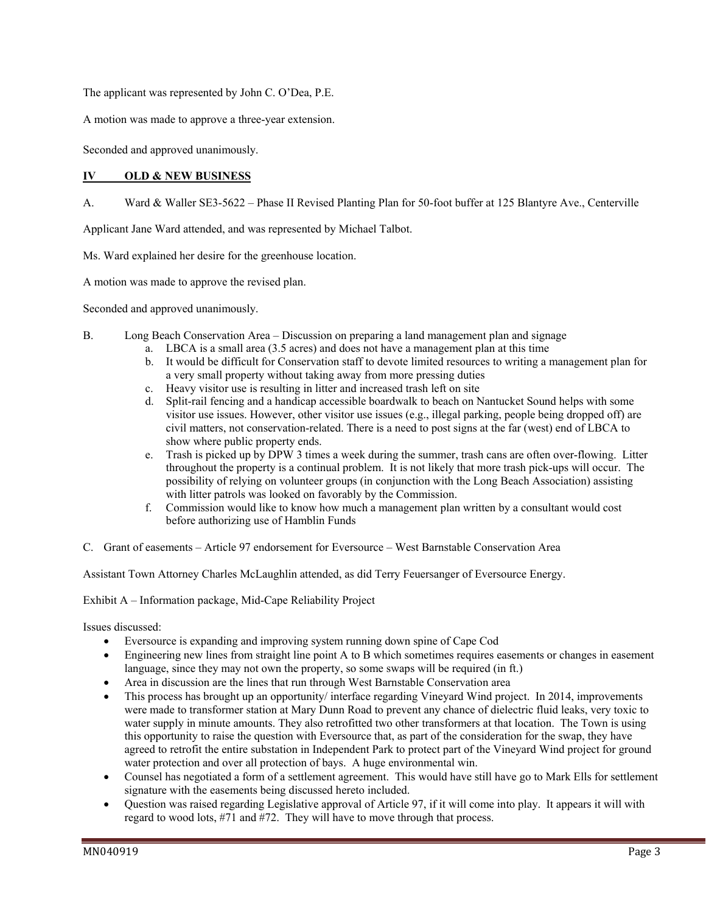The applicant was represented by John C. O'Dea, P.E.

A motion was made to approve a three-year extension.

Seconded and approved unanimously.

### **IV OLD & NEW BUSINESS**

A. Ward & Waller SE3-5622 – Phase II Revised Planting Plan for 50-foot buffer at 125 Blantyre Ave., Centerville

Applicant Jane Ward attended, and was represented by Michael Talbot.

Ms. Ward explained her desire for the greenhouse location.

A motion was made to approve the revised plan.

Seconded and approved unanimously.

- B. Long Beach Conservation Area Discussion on preparing a land management plan and signage
	- a. LBCA is a small area (3.5 acres) and does not have a management plan at this time
	- b. It would be difficult for Conservation staff to devote limited resources to writing a management plan for a very small property without taking away from more pressing duties
	- c. Heavy visitor use is resulting in litter and increased trash left on site
	- d. Split-rail fencing and a handicap accessible boardwalk to beach on Nantucket Sound helps with some visitor use issues. However, other visitor use issues (e.g., illegal parking, people being dropped off) are civil matters, not conservation-related. There is a need to post signs at the far (west) end of LBCA to show where public property ends.
	- e. Trash is picked up by DPW 3 times a week during the summer, trash cans are often over-flowing. Litter throughout the property is a continual problem. It is not likely that more trash pick-ups will occur. The possibility of relying on volunteer groups (in conjunction with the Long Beach Association) assisting with litter patrols was looked on favorably by the Commission.
	- f. Commission would like to know how much a management plan written by a consultant would cost before authorizing use of Hamblin Funds
- C. Grant of easements Article 97 endorsement for Eversource West Barnstable Conservation Area

Assistant Town Attorney Charles McLaughlin attended, as did Terry Feuersanger of Eversource Energy.

Exhibit A – Information package, Mid-Cape Reliability Project

Issues discussed:

- Eversource is expanding and improving system running down spine of Cape Cod
- Engineering new lines from straight line point A to B which sometimes requires easements or changes in easement language, since they may not own the property, so some swaps will be required (in ft.)
- Area in discussion are the lines that run through West Barnstable Conservation area
- This process has brought up an opportunity/ interface regarding Vineyard Wind project. In 2014, improvements were made to transformer station at Mary Dunn Road to prevent any chance of dielectric fluid leaks, very toxic to water supply in minute amounts. They also retrofitted two other transformers at that location. The Town is using this opportunity to raise the question with Eversource that, as part of the consideration for the swap, they have agreed to retrofit the entire substation in Independent Park to protect part of the Vineyard Wind project for ground water protection and over all protection of bays. A huge environmental win.
- Counsel has negotiated a form of a settlement agreement. This would have still have go to Mark Ells for settlement signature with the easements being discussed hereto included.
- Question was raised regarding Legislative approval of Article 97, if it will come into play. It appears it will with regard to wood lots, #71 and #72. They will have to move through that process.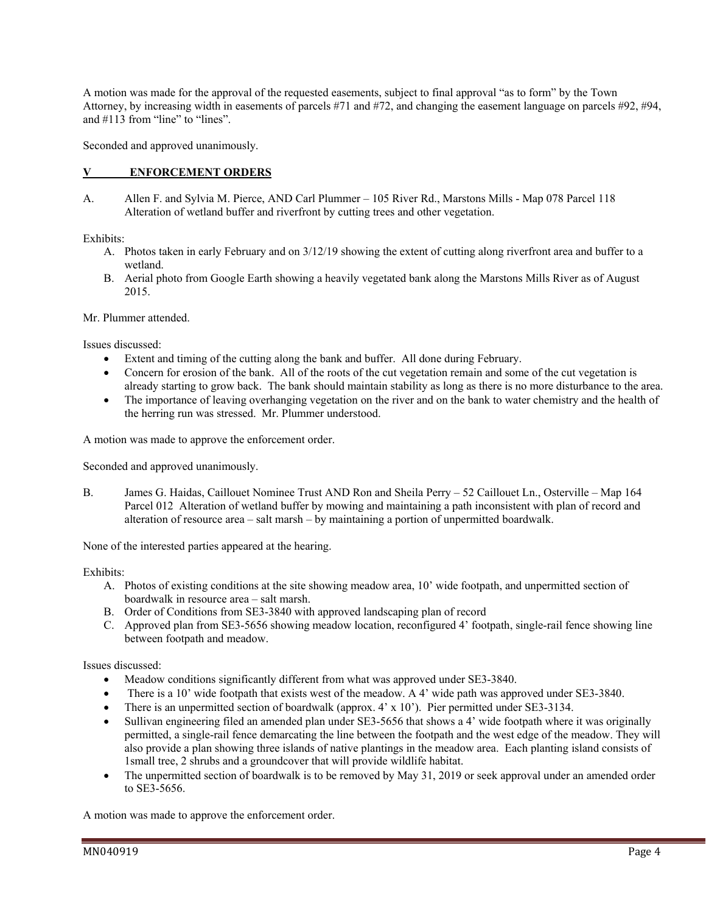A motion was made for the approval of the requested easements, subject to final approval "as to form" by the Town Attorney, by increasing width in easements of parcels #71 and #72, and changing the easement language on parcels #92, #94, and #113 from "line" to "lines".

Seconded and approved unanimously.

#### **V ENFORCEMENT ORDERS**

A. Allen F. and Sylvia M. Pierce, AND Carl Plummer – 105 River Rd., Marstons Mills - Map 078 Parcel 118 Alteration of wetland buffer and riverfront by cutting trees and other vegetation.

Exhibits:

- A. Photos taken in early February and on 3/12/19 showing the extent of cutting along riverfront area and buffer to a wetland.
- B. Aerial photo from Google Earth showing a heavily vegetated bank along the Marstons Mills River as of August 2015.

Mr. Plummer attended.

Issues discussed:

- Extent and timing of the cutting along the bank and buffer. All done during February.
- Concern for erosion of the bank. All of the roots of the cut vegetation remain and some of the cut vegetation is already starting to grow back. The bank should maintain stability as long as there is no more disturbance to the area.
- The importance of leaving overhanging vegetation on the river and on the bank to water chemistry and the health of the herring run was stressed. Mr. Plummer understood.

A motion was made to approve the enforcement order.

Seconded and approved unanimously.

B. James G. Haidas, Caillouet Nominee Trust AND Ron and Sheila Perry – 52 Caillouet Ln., Osterville – Map 164 Parcel 012 Alteration of wetland buffer by mowing and maintaining a path inconsistent with plan of record and alteration of resource area – salt marsh – by maintaining a portion of unpermitted boardwalk.

None of the interested parties appeared at the hearing.

Exhibits:

- A. Photos of existing conditions at the site showing meadow area, 10' wide footpath, and unpermitted section of boardwalk in resource area – salt marsh.
- B. Order of Conditions from SE3-3840 with approved landscaping plan of record
- C. Approved plan from SE3-5656 showing meadow location, reconfigured 4' footpath, single-rail fence showing line between footpath and meadow.

Issues discussed:

- Meadow conditions significantly different from what was approved under SE3-3840.
- There is a 10' wide footpath that exists west of the meadow. A 4' wide path was approved under SE3-3840.
- There is an unpermitted section of boardwalk (approx. 4' x 10'). Pier permitted under SE3-3134.
- Sullivan engineering filed an amended plan under SE3-5656 that shows a 4' wide footpath where it was originally permitted, a single-rail fence demarcating the line between the footpath and the west edge of the meadow. They will also provide a plan showing three islands of native plantings in the meadow area. Each planting island consists of 1small tree, 2 shrubs and a groundcover that will provide wildlife habitat.
- The unpermitted section of boardwalk is to be removed by May 31, 2019 or seek approval under an amended order to SE3-5656.

A motion was made to approve the enforcement order.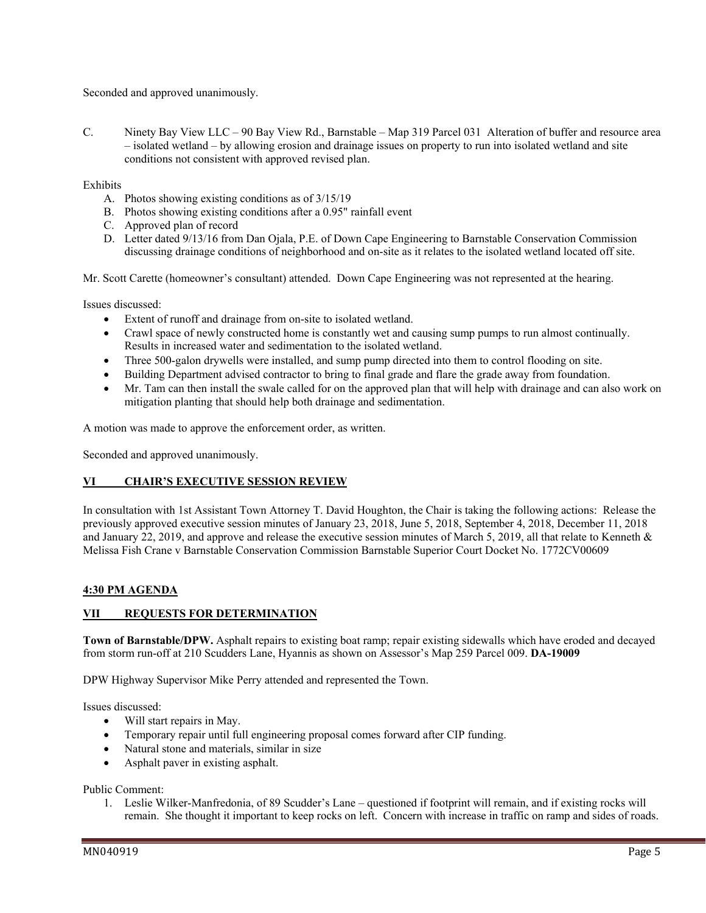Seconded and approved unanimously.

C. Ninety Bay View LLC – 90 Bay View Rd., Barnstable – Map 319 Parcel 031 Alteration of buffer and resource area – isolated wetland – by allowing erosion and drainage issues on property to run into isolated wetland and site conditions not consistent with approved revised plan.

Exhibits

- A. Photos showing existing conditions as of 3/15/19
- B. Photos showing existing conditions after a 0.95" rainfall event
- C. Approved plan of record
- D. Letter dated 9/13/16 from Dan Ojala, P.E. of Down Cape Engineering to Barnstable Conservation Commission discussing drainage conditions of neighborhood and on-site as it relates to the isolated wetland located off site.

Mr. Scott Carette (homeowner's consultant) attended. Down Cape Engineering was not represented at the hearing.

Issues discussed:

- Extent of runoff and drainage from on-site to isolated wetland.
- Crawl space of newly constructed home is constantly wet and causing sump pumps to run almost continually. Results in increased water and sedimentation to the isolated wetland.
- Three 500-galon drywells were installed, and sump pump directed into them to control flooding on site.
- Building Department advised contractor to bring to final grade and flare the grade away from foundation.
- Mr. Tam can then install the swale called for on the approved plan that will help with drainage and can also work on mitigation planting that should help both drainage and sedimentation.

A motion was made to approve the enforcement order, as written.

Seconded and approved unanimously.

#### **VI CHAIR'S EXECUTIVE SESSION REVIEW**

In consultation with 1st Assistant Town Attorney T. David Houghton, the Chair is taking the following actions: Release the previously approved executive session minutes of January 23, 2018, June 5, 2018, September 4, 2018, December 11, 2018 and January 22, 2019, and approve and release the executive session minutes of March 5, 2019, all that relate to Kenneth & Melissa Fish Crane v Barnstable Conservation Commission Barnstable Superior Court Docket No. 1772CV00609

#### **4:30 PM AGENDA**

## **VII REQUESTS FOR DETERMINATION**

**Town of Barnstable/DPW.** Asphalt repairs to existing boat ramp; repair existing sidewalls which have eroded and decayed from storm run-off at 210 Scudders Lane, Hyannis as shown on Assessor's Map 259 Parcel 009. **DA-19009** 

DPW Highway Supervisor Mike Perry attended and represented the Town.

Issues discussed:

- Will start repairs in May.
- Temporary repair until full engineering proposal comes forward after CIP funding.
- Natural stone and materials, similar in size
- Asphalt paver in existing asphalt.

Public Comment:

1. Leslie Wilker-Manfredonia, of 89 Scudder's Lane – questioned if footprint will remain, and if existing rocks will remain. She thought it important to keep rocks on left. Concern with increase in traffic on ramp and sides of roads.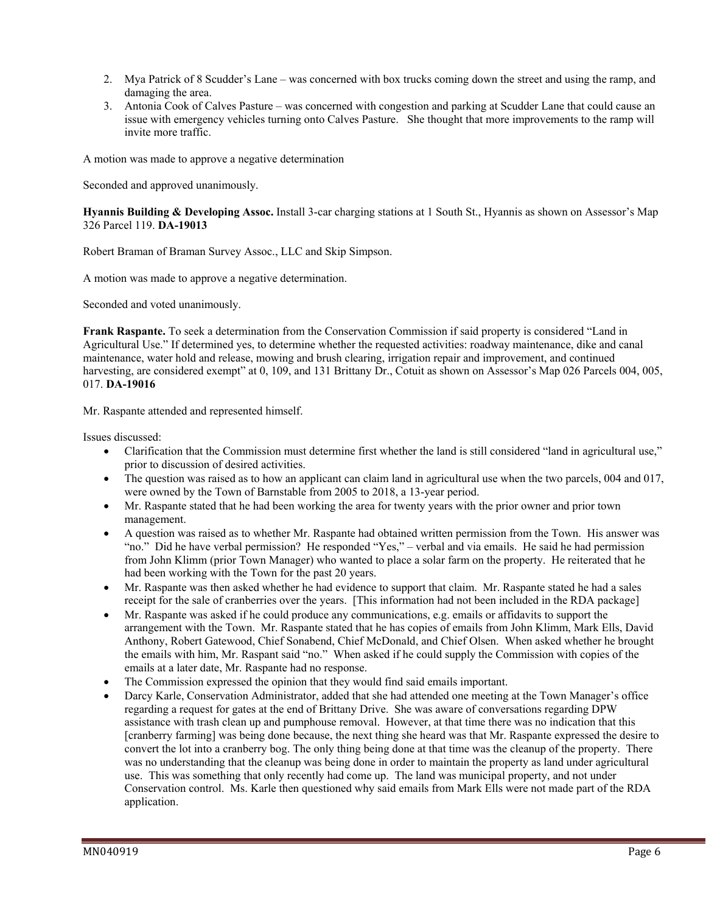- 2. Mya Patrick of 8 Scudder's Lane was concerned with box trucks coming down the street and using the ramp, and damaging the area.
- 3. Antonia Cook of Calves Pasture was concerned with congestion and parking at Scudder Lane that could cause an issue with emergency vehicles turning onto Calves Pasture. She thought that more improvements to the ramp will invite more traffic.

A motion was made to approve a negative determination

Seconded and approved unanimously.

**Hyannis Building & Developing Assoc.** Install 3-car charging stations at 1 South St., Hyannis as shown on Assessor's Map 326 Parcel 119. **DA-19013** 

Robert Braman of Braman Survey Assoc., LLC and Skip Simpson.

A motion was made to approve a negative determination.

Seconded and voted unanimously.

**Frank Raspante.** To seek a determination from the Conservation Commission if said property is considered "Land in Agricultural Use." If determined yes, to determine whether the requested activities: roadway maintenance, dike and canal maintenance, water hold and release, mowing and brush clearing, irrigation repair and improvement, and continued harvesting, are considered exempt" at 0, 109, and 131 Brittany Dr., Cotuit as shown on Assessor's Map 026 Parcels 004, 005, 017. **DA-19016** 

Mr. Raspante attended and represented himself.

Issues discussed:

- Clarification that the Commission must determine first whether the land is still considered "land in agricultural use," prior to discussion of desired activities.
- The question was raised as to how an applicant can claim land in agricultural use when the two parcels, 004 and 017, were owned by the Town of Barnstable from 2005 to 2018, a 13-year period.
- Mr. Raspante stated that he had been working the area for twenty years with the prior owner and prior town management.
- A question was raised as to whether Mr. Raspante had obtained written permission from the Town. His answer was "no." Did he have verbal permission? He responded "Yes," – verbal and via emails. He said he had permission from John Klimm (prior Town Manager) who wanted to place a solar farm on the property. He reiterated that he had been working with the Town for the past 20 years.
- Mr. Raspante was then asked whether he had evidence to support that claim. Mr. Raspante stated he had a sales receipt for the sale of cranberries over the years. [This information had not been included in the RDA package]
- Mr. Raspante was asked if he could produce any communications, e.g. emails or affidavits to support the arrangement with the Town. Mr. Raspante stated that he has copies of emails from John Klimm, Mark Ells, David Anthony, Robert Gatewood, Chief Sonabend, Chief McDonald, and Chief Olsen. When asked whether he brought the emails with him, Mr. Raspant said "no." When asked if he could supply the Commission with copies of the emails at a later date, Mr. Raspante had no response.
- The Commission expressed the opinion that they would find said emails important.
- Darcy Karle, Conservation Administrator, added that she had attended one meeting at the Town Manager's office regarding a request for gates at the end of Brittany Drive. She was aware of conversations regarding DPW assistance with trash clean up and pumphouse removal. However, at that time there was no indication that this [cranberry farming] was being done because, the next thing she heard was that Mr. Raspante expressed the desire to convert the lot into a cranberry bog. The only thing being done at that time was the cleanup of the property. There was no understanding that the cleanup was being done in order to maintain the property as land under agricultural use. This was something that only recently had come up. The land was municipal property, and not under Conservation control. Ms. Karle then questioned why said emails from Mark Ells were not made part of the RDA application.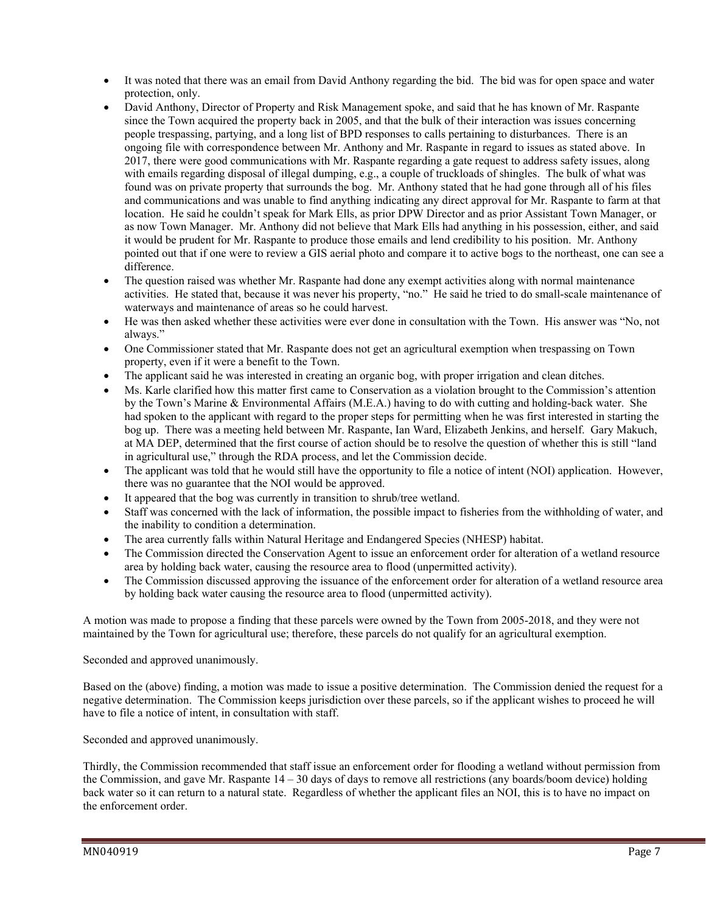- It was noted that there was an email from David Anthony regarding the bid. The bid was for open space and water protection, only.
- David Anthony, Director of Property and Risk Management spoke, and said that he has known of Mr. Raspante since the Town acquired the property back in 2005, and that the bulk of their interaction was issues concerning people trespassing, partying, and a long list of BPD responses to calls pertaining to disturbances. There is an ongoing file with correspondence between Mr. Anthony and Mr. Raspante in regard to issues as stated above. In 2017, there were good communications with Mr. Raspante regarding a gate request to address safety issues, along with emails regarding disposal of illegal dumping, e.g., a couple of truckloads of shingles. The bulk of what was found was on private property that surrounds the bog. Mr. Anthony stated that he had gone through all of his files and communications and was unable to find anything indicating any direct approval for Mr. Raspante to farm at that location. He said he couldn't speak for Mark Ells, as prior DPW Director and as prior Assistant Town Manager, or as now Town Manager. Mr. Anthony did not believe that Mark Ells had anything in his possession, either, and said it would be prudent for Mr. Raspante to produce those emails and lend credibility to his position. Mr. Anthony pointed out that if one were to review a GIS aerial photo and compare it to active bogs to the northeast, one can see a difference.
- The question raised was whether Mr. Raspante had done any exempt activities along with normal maintenance activities. He stated that, because it was never his property, "no." He said he tried to do small-scale maintenance of waterways and maintenance of areas so he could harvest.
- He was then asked whether these activities were ever done in consultation with the Town. His answer was "No, not always."
- One Commissioner stated that Mr. Raspante does not get an agricultural exemption when trespassing on Town property, even if it were a benefit to the Town.
- The applicant said he was interested in creating an organic bog, with proper irrigation and clean ditches.
- Ms. Karle clarified how this matter first came to Conservation as a violation brought to the Commission's attention by the Town's Marine & Environmental Affairs (M.E.A.) having to do with cutting and holding-back water. She had spoken to the applicant with regard to the proper steps for permitting when he was first interested in starting the bog up. There was a meeting held between Mr. Raspante, Ian Ward, Elizabeth Jenkins, and herself. Gary Makuch, at MA DEP, determined that the first course of action should be to resolve the question of whether this is still "land in agricultural use," through the RDA process, and let the Commission decide.
- The applicant was told that he would still have the opportunity to file a notice of intent (NOI) application. However, there was no guarantee that the NOI would be approved.
- It appeared that the bog was currently in transition to shrub/tree wetland.
- Staff was concerned with the lack of information, the possible impact to fisheries from the withholding of water, and the inability to condition a determination.
- The area currently falls within Natural Heritage and Endangered Species (NHESP) habitat.
- The Commission directed the Conservation Agent to issue an enforcement order for alteration of a wetland resource area by holding back water, causing the resource area to flood (unpermitted activity).
- The Commission discussed approving the issuance of the enforcement order for alteration of a wetland resource area by holding back water causing the resource area to flood (unpermitted activity).

A motion was made to propose a finding that these parcels were owned by the Town from 2005-2018, and they were not maintained by the Town for agricultural use; therefore, these parcels do not qualify for an agricultural exemption.

#### Seconded and approved unanimously.

Based on the (above) finding, a motion was made to issue a positive determination. The Commission denied the request for a negative determination. The Commission keeps jurisdiction over these parcels, so if the applicant wishes to proceed he will have to file a notice of intent, in consultation with staff.

Seconded and approved unanimously.

Thirdly, the Commission recommended that staff issue an enforcement order for flooding a wetland without permission from the Commission, and gave Mr. Raspante 14 – 30 days of days to remove all restrictions (any boards/boom device) holding back water so it can return to a natural state. Regardless of whether the applicant files an NOI, this is to have no impact on the enforcement order.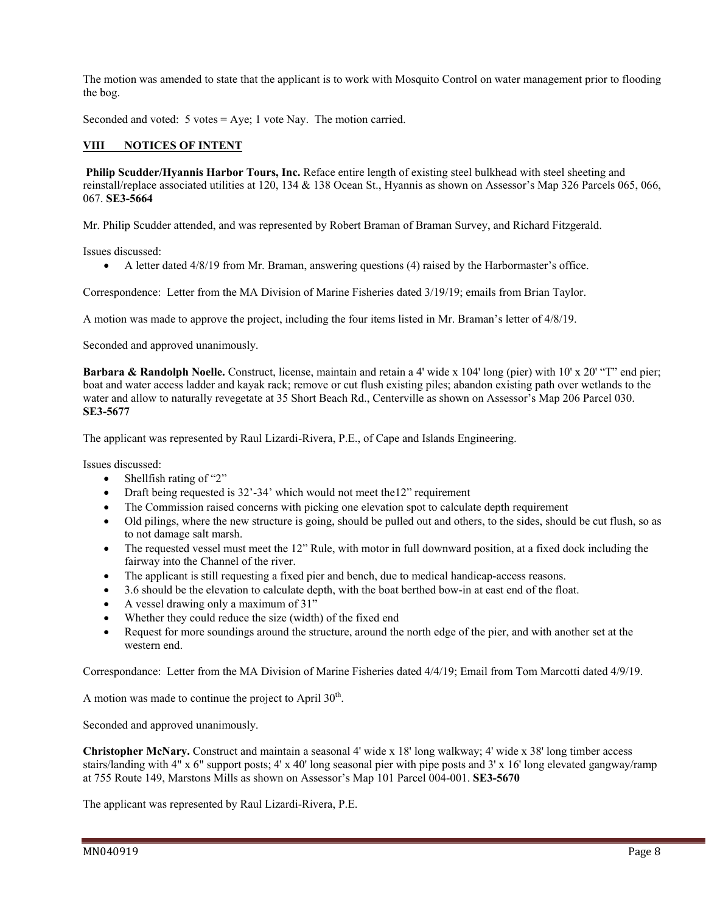The motion was amended to state that the applicant is to work with Mosquito Control on water management prior to flooding the bog.

Seconded and voted: 5 votes = Aye; 1 vote Nay. The motion carried.

## **VIII NOTICES OF INTENT**

**Philip Scudder/Hyannis Harbor Tours, Inc.** Reface entire length of existing steel bulkhead with steel sheeting and reinstall/replace associated utilities at 120, 134 & 138 Ocean St., Hyannis as shown on Assessor's Map 326 Parcels 065, 066, 067. **SE3-5664** 

Mr. Philip Scudder attended, and was represented by Robert Braman of Braman Survey, and Richard Fitzgerald.

Issues discussed:

A letter dated 4/8/19 from Mr. Braman, answering questions (4) raised by the Harbormaster's office.

Correspondence: Letter from the MA Division of Marine Fisheries dated 3/19/19; emails from Brian Taylor.

A motion was made to approve the project, including the four items listed in Mr. Braman's letter of 4/8/19.

Seconded and approved unanimously.

**Barbara & Randolph Noelle.** Construct, license, maintain and retain a 4' wide x 104' long (pier) with 10' x 20' "T" end pier; boat and water access ladder and kayak rack; remove or cut flush existing piles; abandon existing path over wetlands to the water and allow to naturally revegetate at 35 Short Beach Rd., Centerville as shown on Assessor's Map 206 Parcel 030. **SE3-5677** 

The applicant was represented by Raul Lizardi-Rivera, P.E., of Cape and Islands Engineering.

Issues discussed:

- $\bullet$  Shellfish rating of "2"
- Draft being requested is 32'-34' which would not meet the12" requirement
- The Commission raised concerns with picking one elevation spot to calculate depth requirement
- Old pilings, where the new structure is going, should be pulled out and others, to the sides, should be cut flush, so as to not damage salt marsh.
- The requested vessel must meet the 12" Rule, with motor in full downward position, at a fixed dock including the fairway into the Channel of the river.
- The applicant is still requesting a fixed pier and bench, due to medical handicap-access reasons.
- 3.6 should be the elevation to calculate depth, with the boat berthed bow-in at east end of the float.
- A vessel drawing only a maximum of 31"
- Whether they could reduce the size (width) of the fixed end
- Request for more soundings around the structure, around the north edge of the pier, and with another set at the western end.

Correspondance: Letter from the MA Division of Marine Fisheries dated 4/4/19; Email from Tom Marcotti dated 4/9/19.

A motion was made to continue the project to April  $30<sup>th</sup>$ .

Seconded and approved unanimously.

**Christopher McNary.** Construct and maintain a seasonal 4' wide x 18' long walkway; 4' wide x 38' long timber access stairs/landing with 4" x 6" support posts; 4' x 40' long seasonal pier with pipe posts and 3' x 16' long elevated gangway/ramp at 755 Route 149, Marstons Mills as shown on Assessor's Map 101 Parcel 004-001. **SE3-5670** 

The applicant was represented by Raul Lizardi-Rivera, P.E.